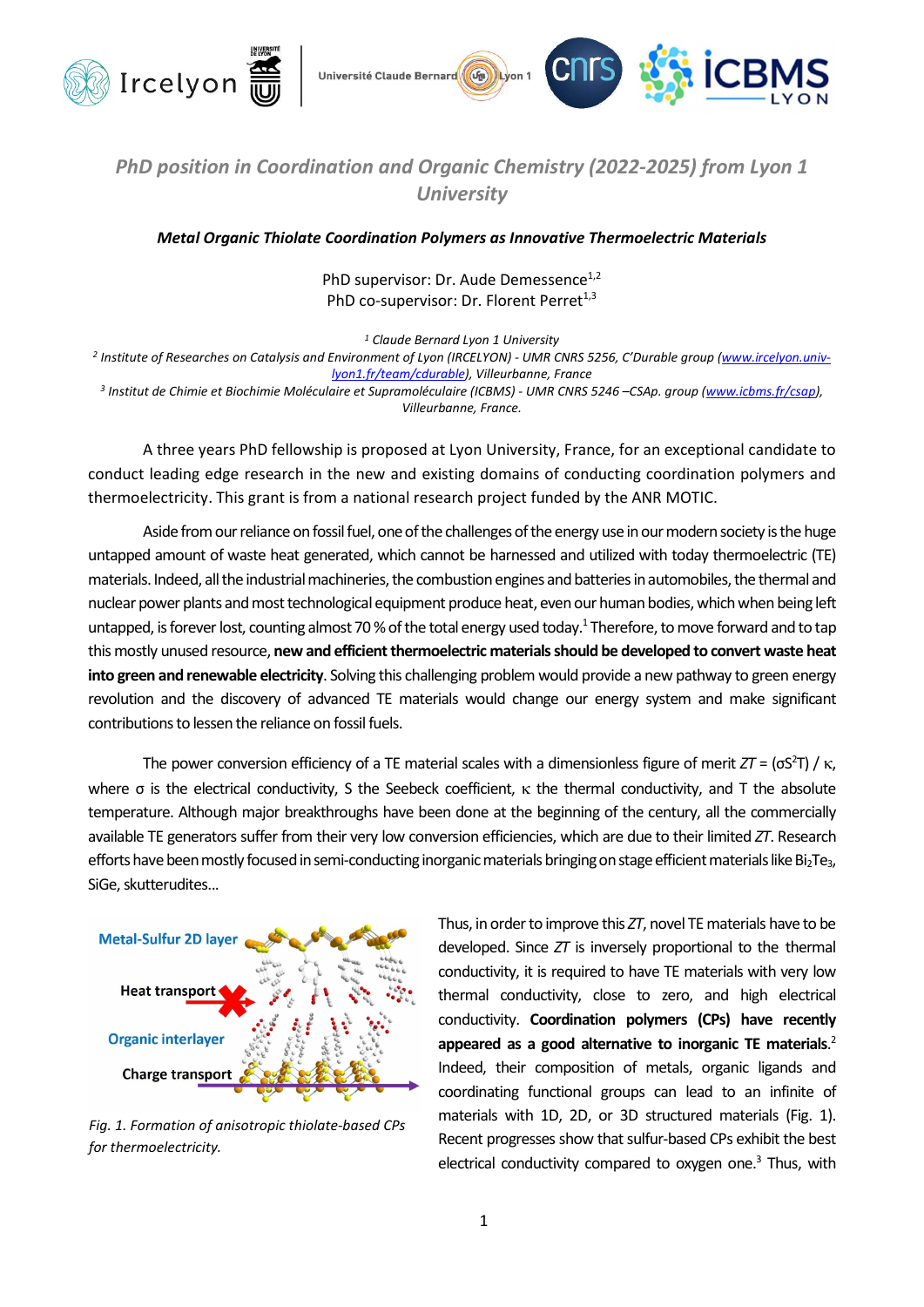



## PhD position in Coordination and Organic Chemistry (2022-2025) from Lyon 1 **University**

Metal Organic Thiolate Coordination Polymers as Innovative Thermoelectric Materials

PhD supervisor: Dr. Aude Demessence<sup>1,2</sup> PhD co-supervisor: Dr. Florent Perret<sup>1,3</sup>

<sup>1</sup> Claude Bernard Lyon 1 University

<sup>2</sup> Institute of Researches on Catalysis and Environment of Lyon (IRCELYON) - UMR CNRS 5256, C'Durable group (<u>www.ircelyon.univ-</u> lyon1.fr/team/cdurable), Villeurbanne, France

<sup>3</sup> Institut de Chimie et Biochimie Moléculaire et Supramoléculaire (ICBMS) - UMR CNRS 5246 –CSAp. group (<u>www.icbms.fr/csap),</u> Villeurbanne, France.

A three years PhD fellowship is proposed at Lyon University, France, for an exceptional candidate to conduct leading edge research in the new and existing domains of conducting coordination polymers and thermoelectricity. This grant is from a national research project funded by the ANR MOTIC.

Aside from our reliance on fossil fuel, one of the challenges of the energy use in our modern society is the huge untapped amount of waste heat generated, which cannot be harnessed and utilized with today thermoelectric (TE) materials. Indeed, all the industrial machineries, the combustion engines and batteries in automobiles, the thermal and nuclear power plants and most technological equipment produce heat, even our human bodies, which when being left untapped, is forever lost, counting almost 70 % of the total energy used today.<sup>1</sup> Therefore, to move forward and to tap this mostly unused resource, new and efficient thermoelectric materials should be developed to convert waste heat into green and renewable electricity. Solving this challenging problem would provide a new pathway to green energy revolution and the discovery of advanced TE materials would change our energy system and make significant contributions to lessen the reliance on fossil fuels.

The power conversion efficiency of a TE material scales with a dimensionless figure of merit  $ZT = (\sigma S^2 T) / \kappa$ , where  $\sigma$  is the electrical conductivity, S the Seebeck coefficient,  $\kappa$  the thermal conductivity, and T the absolute temperature. Although major breakthroughs have been done at the beginning of the century, all the commercially available TE generators suffer from their very low conversion efficiencies, which are due to their limited ZT. Research efforts have been mostly focused in semi-conducting inorganic materials bringing on stage efficient materials like Bi<sub>2</sub>Te<sub>3</sub>, SiGe, skutterudites...



Fig. 1. Formation of anisotropic thiolate-based CPs for thermoelectricity.

Thus, in order to improve this ZT, novel TE materials have to be developed. Since ZT is inversely proportional to the thermal conductivity, it is required to have TE materials with very low thermal conductivity, close to zero, and high electrical conductivity. Coordination polymers (CPs) have recently appeared as a good alternative to inorganic TE materials. $<sup>2</sup>$ </sup> Indeed, their composition of metals, organic ligands and coordinating functional groups can lead to an infinite of materials with 1D, 2D, or 3D structured materials (Fig. 1). Recent progresses show that sulfur-based CPs exhibit the best electrical conductivity compared to oxygen one.<sup>3</sup> Thus, with